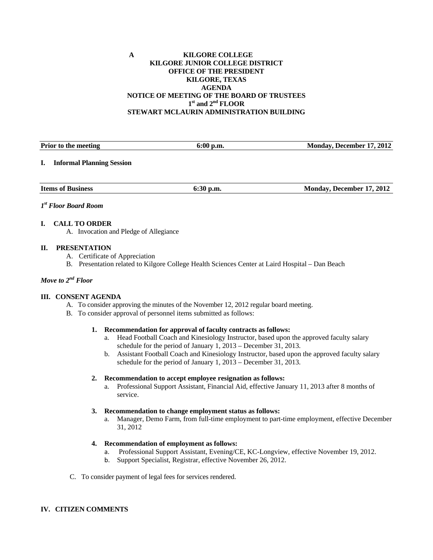### **A KILGORE COLLEGE KILGORE JUNIOR COLLEGE DISTRICT OFFICE OF THE PRESIDENT KILGORE, TEXAS AGENDA NOTICE OF MEETING OF THE BOARD OF TRUSTEES 1st and 2nd FLOOR STEWART MCLAURIN ADMINISTRATION BUILDING**

| <b>Prior to the meeting</b>            | $6:00$ p.m. | Monday, December 17, 2012 |
|----------------------------------------|-------------|---------------------------|
| <b>Informal Planning Session</b><br>L. |             |                           |
| <b>Items of Business</b>               | $6:30$ p.m. | Monday, December 17, 2012 |

#### *1st Floor Board Room*

#### **I. CALL TO ORDER**

A. Invocation and Pledge of Allegiance

#### **II. PRESENTATION**

- A. Certificate of Appreciation
- B. Presentation related to Kilgore College Health Sciences Center at Laird Hospital Dan Beach

## *Move to 2nd Floor*

#### **III. CONSENT AGENDA**

- A. To consider approving the minutes of the November 12, 2012 regular board meeting.
- B. To consider approval of personnel items submitted as follows:

#### **1. Recommendation for approval of faculty contracts as follows:**

- a. Head Football Coach and Kinesiology Instructor, based upon the approved faculty salary schedule for the period of January 1, 2013 – December 31, 2013.
- b. Assistant Football Coach and Kinesiology Instructor, based upon the approved faculty salary schedule for the period of January 1, 2013 – December 31, 2013.

#### **2. Recommendation to accept employee resignation as follows:**

a. Professional Support Assistant, Financial Aid, effective January 11, 2013 after 8 months of service.

#### **3. Recommendation to change employment status as follows:**

a. Manager, Demo Farm, from full-time employment to part-time employment, effective December 31, 2012

### **4. Recommendation of employment as follows:**

- a. Professional Support Assistant, Evening/CE, KC-Longview, effective November 19, 2012.
- b. Support Specialist, Registrar, effective November 26, 2012.
- C. To consider payment of legal fees for services rendered.

#### **IV. CITIZEN COMMENTS**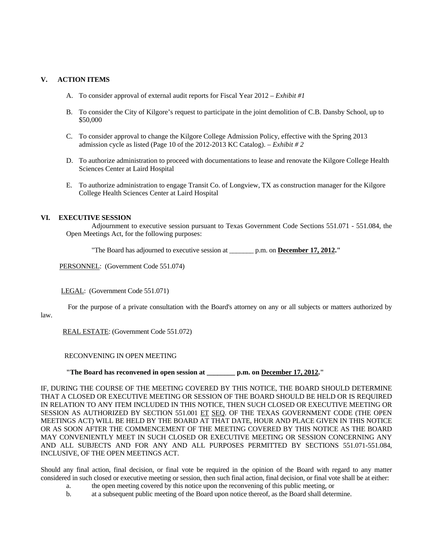## **V. ACTION ITEMS**

- A. To consider approval of external audit reports for Fiscal Year 2012 *Exhibit #1*
- B. To consider the City of Kilgore's request to participate in the joint demolition of C.B. Dansby School, up to \$50,000
- C. To consider approval to change the Kilgore College Admission Policy, effective with the Spring 2013 admission cycle as listed (Page 10 of the 2012-2013 KC Catalog).  $-$  *Exhibit # 2*
- D. To authorize administration to proceed with documentations to lease and renovate the Kilgore College Health Sciences Center at Laird Hospital
- E. To authorize administration to engage Transit Co. of Longview, TX as construction manager for the Kilgore College Health Sciences Center at Laird Hospital

## **VI. EXECUTIVE SESSION**

 Adjournment to executive session pursuant to Texas Government Code Sections 551.071 - 551.084, the Open Meetings Act, for the following purposes:

"The Board has adjourned to executive session at \_\_\_\_\_\_\_ p.m. on **December 17, 2012."** 

PERSONNEL: (Government Code 551.074)

LEGAL: (Government Code 551.071)

For the purpose of a private consultation with the Board's attorney on any or all subjects or matters authorized by

law.

REAL ESTATE: (Government Code 551.072)

RECONVENING IN OPEN MEETING

 **"The Board has reconvened in open session at \_\_\_\_\_\_\_\_ p.m. on December 17, 2012."** 

IF, DURING THE COURSE OF THE MEETING COVERED BY THIS NOTICE, THE BOARD SHOULD DETERMINE THAT A CLOSED OR EXECUTIVE MEETING OR SESSION OF THE BOARD SHOULD BE HELD OR IS REQUIRED IN RELATION TO ANY ITEM INCLUDED IN THIS NOTICE, THEN SUCH CLOSED OR EXECUTIVE MEETING OR SESSION AS AUTHORIZED BY SECTION 551.001 ET SEQ. OF THE TEXAS GOVERNMENT CODE (THE OPEN MEETINGS ACT) WILL BE HELD BY THE BOARD AT THAT DATE, HOUR AND PLACE GIVEN IN THIS NOTICE OR AS SOON AFTER THE COMMENCEMENT OF THE MEETING COVERED BY THIS NOTICE AS THE BOARD MAY CONVENIENTLY MEET IN SUCH CLOSED OR EXECUTIVE MEETING OR SESSION CONCERNING ANY AND ALL SUBJECTS AND FOR ANY AND ALL PURPOSES PERMITTED BY SECTIONS 551.071-551.084, INCLUSIVE, OF THE OPEN MEETINGS ACT.

Should any final action, final decision, or final vote be required in the opinion of the Board with regard to any matter considered in such closed or executive meeting or session, then such final action, final decision, or final vote shall be at either:

- a. the open meeting covered by this notice upon the reconvening of this public meeting, or
- b. at a subsequent public meeting of the Board upon notice thereof, as the Board shall determine.